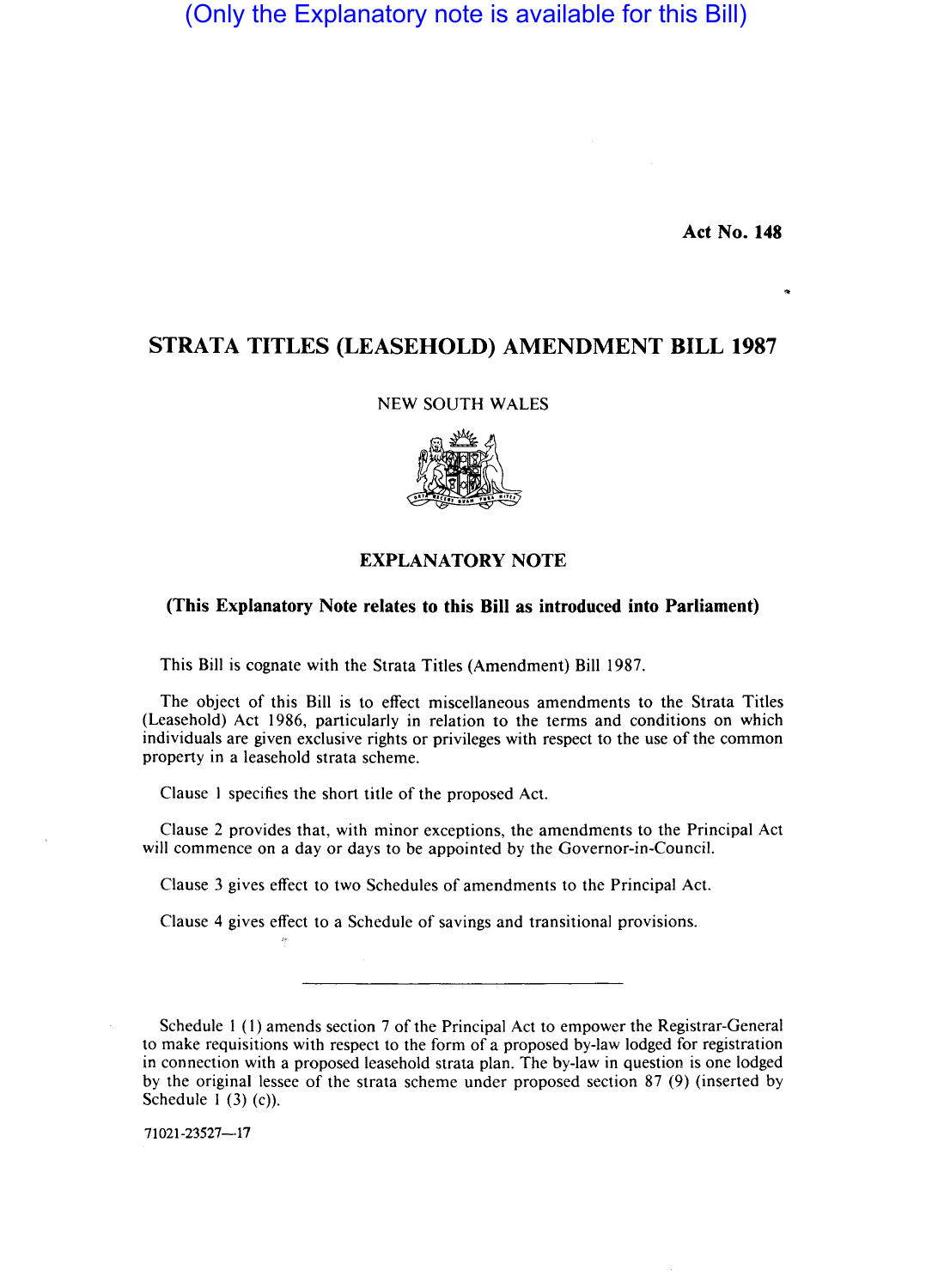(Only the Explanatory note is available for this Bill)

Act No. 148

## STRATA TITLES (LEASEHOLD) AMENDMENT BILL 1987

## NEW SOUTH WALES



## EXPLANATORY NOTE

## (This Explanatory Note relates to this Bill as introduced into Parliament)

This Bill is cognate with the Strata Titles (Amendment) Bill 1987.

The object of this Bill is to effect miscellaneous amendments to the Strata Titles (Leasehold) Act 1986, particularly in relation to the terms and conditions on which individuals are given exclusive rights or privileges with respect to the use of the common property in a leasehold strata scheme.

Clause I specifies the short title of the proposed Act.

Clause 2 provides that, with minor exceptions, the amendments to the Principal Act will commence on a day or days to be appointed by the Governor-in-Council.

Clause 3 gives effect to two Schedules of amendments to the Principal Act.

Clause 4 gives effect to a Schedule of savings and transitional provisions.

Schedule I (I) amends section 7 of the Principal Act to empower the Registrar-General to make requisitions with respect to the form of a proposed by-law lodged for registration in connection with a proposed leasehold strata plan. The by-law in question is one lodged by the original lessee of the strata scheme under proposed section 87 (9) (inserted by Schedule  $1(3)(c)$ .

71021-23527-17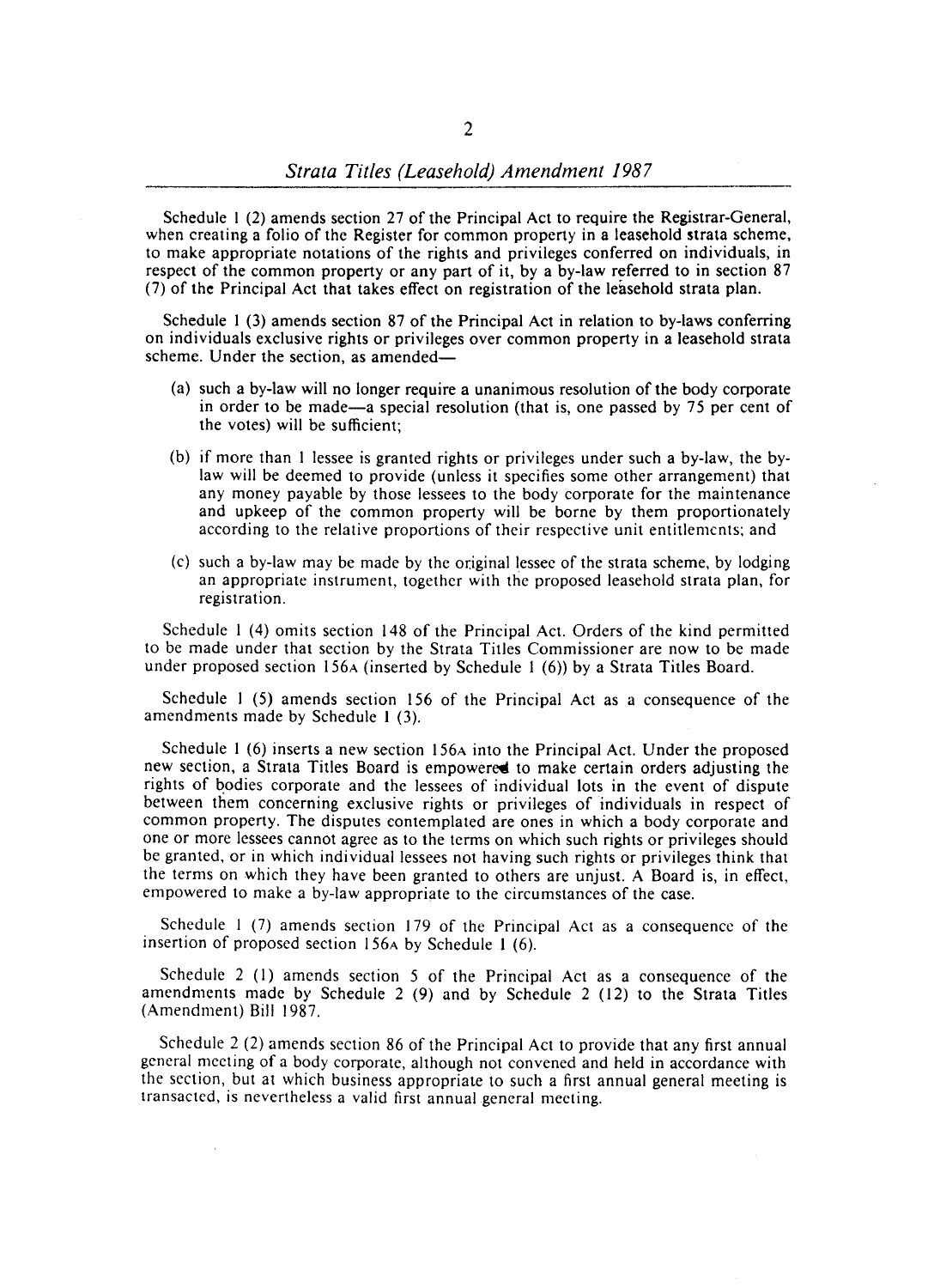Schedule I (2) amends section 27 of the Principal Act to require the Registrar-General, when creating a folio of the Register for common property in a leasehold strata scheme, to make appropriate notations of the rights and privileges conferred on individuals, in respect of the common property or any part of it, by a by-law referred to in section 87 (7) of the Principal Act that takes effect on registration of the leasehold strata plan.

Schedule I (3) amends section 87 of the Principal Act in relation to by-laws conferring on individuals exclusive rights or privileges over common property in a leasehold strata scheme. Under the section, as amended-

- (a) such a by-law will no longer require a unanimous resolution of the body corporate in order to be made-a special resolution (that is, one passed by 75 per cent of the votes) will be sufficient;
- (b) if more than I lessee is granted rights or privileges under such a by-law, the bylaw will be deemed to provide (unless it specifies some other arrangement) that any money payable by those lessees to the body corporate for the maintenance and upkeep of the common property will be borne by them proportionately according to the relative proportions of their respective unit entitlements; and
- $(c)$  such a by-law may be made by the original lessee of the strata scheme, by lodging an appropriate instrument, together with the proposed leasehold strata plan, for registration.

Schedule 1 (4) omits section 148 of the Principal Act. Orders of the kind permitted to be made under that section by the Strata Titles Commissioner are now to be made under proposed section 156A (inserted by Schedule I (6» by a Strata Titles Board.

Schedule I (5) amends section 156 of the Principal Act as a consequence of the amendments made by Schedule I (3).

Schedule  $1(6)$  inserts a new section 156A into the Principal Act. Under the proposed new section, a Strata Titles Board is empowered to make certain orders adjusting the rights of bodies corporate and the lessees of individual lots in the event of dispute between them concerning exclusive rights or privileges of individuals in respect of common property. The disputes contemplated are ones in which a body corporate and one or more lessees cannot agree as to the terms on which such rights or privileges should be granted, or in which individual lessees not having such rights or privileges think that the terms on which they have been granted to others are unjust. A Board is, in effect, empowered to make a by-law appropriate to the circumstances of the case.

Schedule I (7) amends section 179 of the Principal Act as a consequence of the insertion of proposed section 156A by Schedule I (6).

Schedule 2 (I) amends section 5 of the Principal Act as a consequence of the amendments made by Schedule 2 (9) and by Schedule 2 (12) to the Strata Titles (Amendment) Bill 1987.

Schedule 2 (2) amends section 86 of the Principal Act to provide that any first annual general meeting of a body corporate, although not convened and held in accordance with the section, but at which business appropriate to such a first annual general meeting is transacted, is nevertheless a valid first annual general meeting.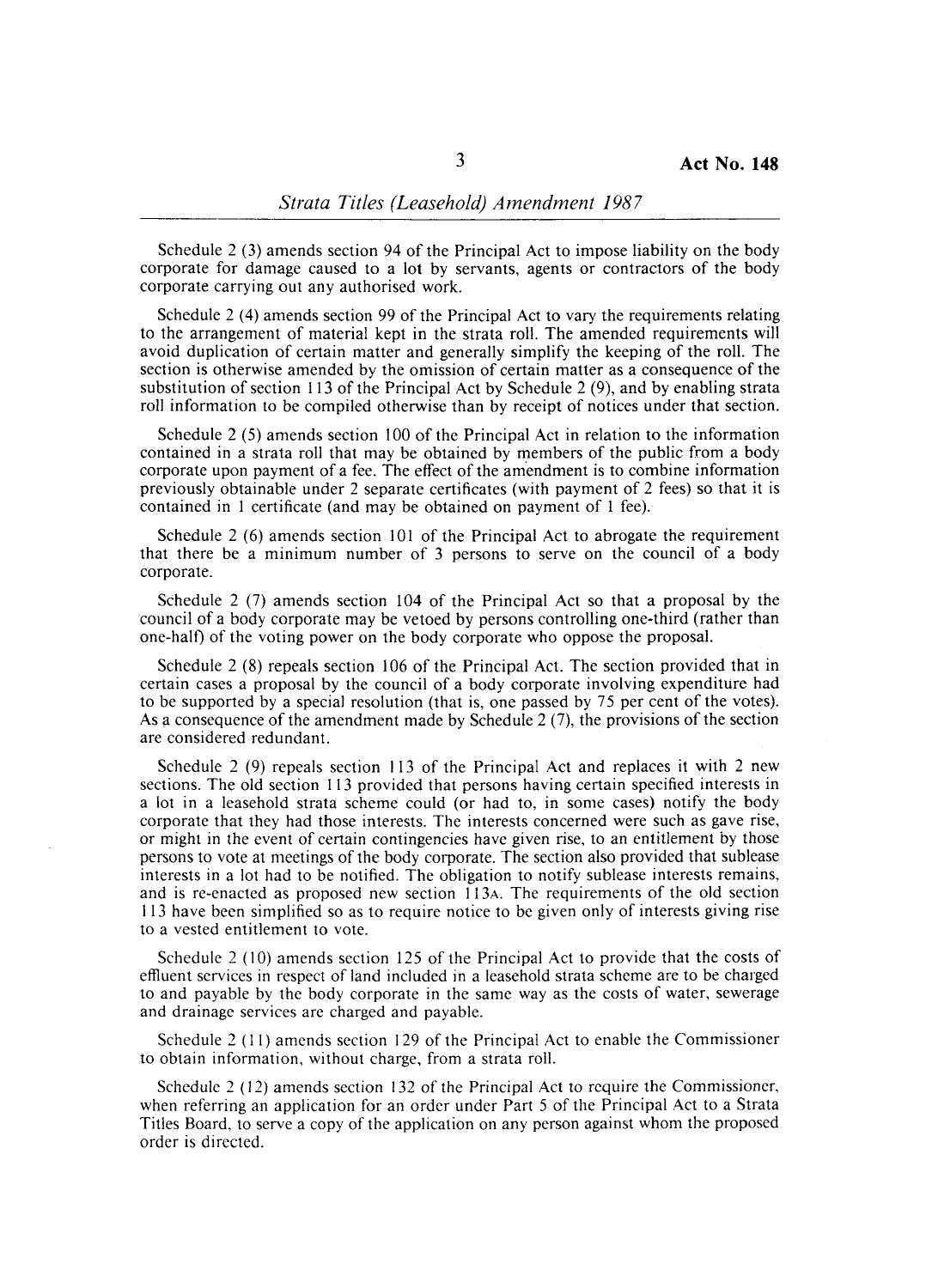Schedule 2 (3) amends section 94 of the Principal Act to impose liability on the body corporate for damage caused to a lot by servants, agents or contractors of the body corporate carrying out any authorised work.

Schedule 2 (4) amends section 99 of the Principal Act to vary the requirements relating to the arrangement of material kept in the strata roll. The amended requirements will avoid duplication of certain matter and generally simplify the keeping of the roll. The section is otherwise amended by the omission of certain matter as a consequence of the substitution of section 113 of the Principal Act by Schedule 2 (9), and by enabling strata roll information to be compiled otherwise than by receipt of notices under that section.

Schedule 2 (5) amends section 100 of the Principal Act in relation to the information contained in a strata roll that may be obtained by members of the public from a body corporate upon payment of a fee. The effect of the amendment is to combine information previously obtainable under 2 separate certificates (with payment of 2 fees) so that it is contained in 1 certificate (and may be obtained on payment of I fee).

Schedule 2 (6) amends section 101 of the Principal Act to abrogate the requirement that there be a minimum number of 3 persons to serve on the council of a body corporate.

Schedule 2 (7) amends section 104 of the Principal Act so that a proposal by the council of a body corporate may be vetoed by persons controlling one-third (rather than one-half) of the voting power on the body corporate who oppose the proposal.

Schedule 2 (8) repeals section 106 of the Principal Act. The section provided that in certain cases a proposal by the council of a body corporate involving expenditure had to be supported by a special resolution (that is, one passed by 75 per cent of the votes). As a consequence of the amendment made by Schedule 2  $(7)$ , the provisions of the section are considered redundant.

Schedule 2 (9) repeals section 113 of the Principal Act and replaces it with 2 new sections. The old section 113 provided that persons having certain specified interests in a lot in a leasehold strata scheme could (or had to, in some cases) notify the body corporate that they had those interests. The interests concerned were such as gave rise, or might in the event of certain contingencies have given rise, to an entitlement by those persons to vote at meetings of the body corporate. The section also provided that sublease interests in a lot had to be notified. The obligation to notify sublease interests remains, and is re-enacted as proposed new section 113A. The requirements of the old section 113 have been simplified so as to require notice to be given only of interests giving rise to a vested entitlement to vote.

Schedule 2 (10) amends section 125 of the Principal Act to provide that the costs of effluent services in respect of land included in a leasehold strata scheme are to be charged to and payable by the body corporate in the same way as the costs of water, sewerage and drainage services are charged and payable.

Schedule 2 (11) amends section 129 of the Principal Act to enable the Commissioner to obtain information, without charge, from a strata roll.

Schedule  $2(12)$  amends section 132 of the Principal Act to require the Commissioner, when referring an application for an order under Part 5 of the Principal Act to a Strata Titles Board, to serve a copy of the application on any person against whom the proposed order is directed.